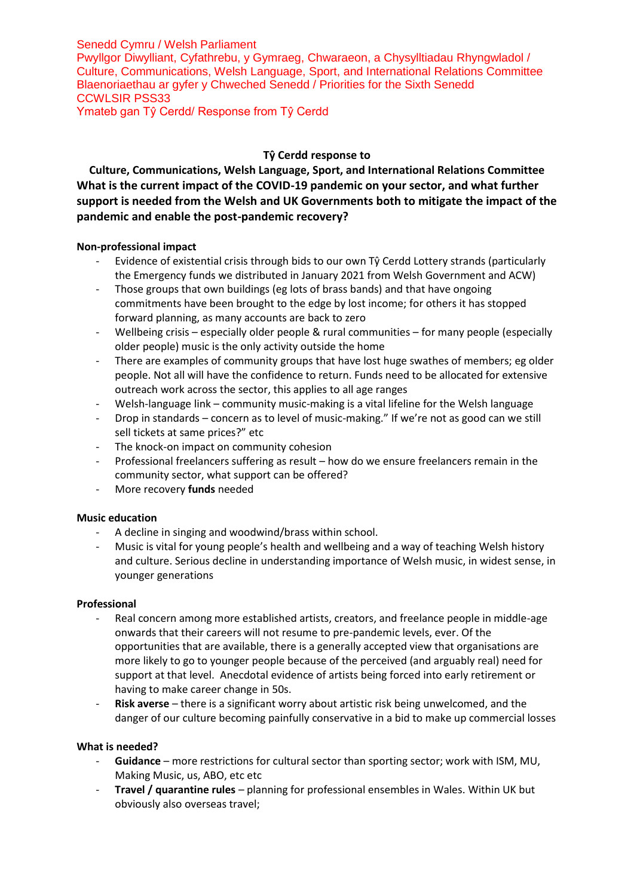# Senedd Cymru / Welsh Parliament

Pwyllgor Diwylliant, Cyfathrebu, y Gymraeg, Chwaraeon, a Chysylltiadau Rhyngwladol / Culture, Communications, Welsh Language, Sport, and International Relations Committee Blaenoriaethau ar gyfer y Chweched Senedd / Priorities for the Sixth Senedd CCWLSIR PSS33

Ymateb gan Tŷ Cerdd/ Response from Tŷ Cerdd

## **Tŷ Cerdd response to**

**Culture, Communications, Welsh Language, Sport, and International Relations Committee What is the current impact of the COVID-19 pandemic on your sector, and what further support is needed from the Welsh and UK Governments both to mitigate the impact of the pandemic and enable the post-pandemic recovery?**

#### **Non-professional impact**

- Evidence of existential crisis through bids to our own Tŷ Cerdd Lottery strands (particularly the Emergency funds we distributed in January 2021 from Welsh Government and ACW)
- Those groups that own buildings (eg lots of brass bands) and that have ongoing commitments have been brought to the edge by lost income; for others it has stopped forward planning, as many accounts are back to zero
- Wellbeing crisis especially older people & rural communities for many people (especially older people) music is the only activity outside the home
- There are examples of community groups that have lost huge swathes of members; eg older people. Not all will have the confidence to return. Funds need to be allocated for extensive outreach work across the sector, this applies to all age ranges
- Welsh-language link community music-making is a vital lifeline for the Welsh language
- Drop in standards concern as to level of music-making." If we're not as good can we still sell tickets at same prices?" etc
- The knock-on impact on community cohesion
- Professional freelancers suffering as result how do we ensure freelancers remain in the community sector, what support can be offered?
- More recovery **funds** needed

#### **Music education**

- A decline in singing and woodwind/brass within school.
- Music is vital for young people's health and wellbeing and a way of teaching Welsh history and culture. Serious decline in understanding importance of Welsh music, in widest sense, in younger generations

#### **Professional**

- Real concern among more established artists, creators, and freelance people in middle-age onwards that their careers will not resume to pre-pandemic levels, ever. Of the opportunities that are available, there is a generally accepted view that organisations are more likely to go to younger people because of the perceived (and arguably real) need for support at that level. Anecdotal evidence of artists being forced into early retirement or having to make career change in 50s.
- Risk averse there is a significant worry about artistic risk being unwelcomed, and the danger of our culture becoming painfully conservative in a bid to make up commercial losses

#### **What is needed?**

- Guidance more restrictions for cultural sector than sporting sector; work with ISM, MU, Making Music, us, ABO, etc etc
- **Travel / quarantine rules** planning for professional ensembles in Wales. Within UK but obviously also overseas travel;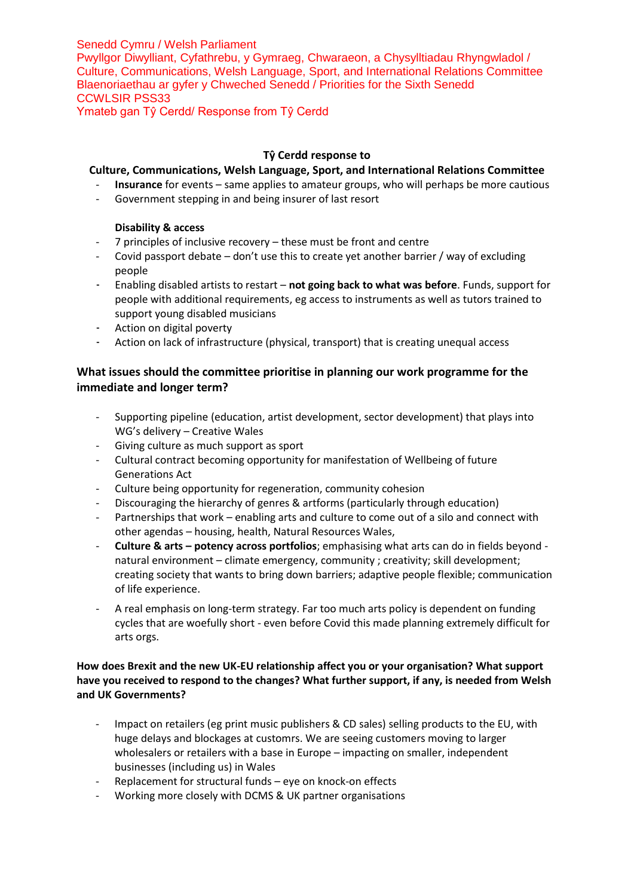# Senedd Cymru / Welsh Parliament

Pwyllgor Diwylliant, Cyfathrebu, y Gymraeg, Chwaraeon, a Chysylltiadau Rhyngwladol / Culture, Communications, Welsh Language, Sport, and International Relations Committee Blaenoriaethau ar gyfer y Chweched Senedd / Priorities for the Sixth Senedd CCWLSIR PSS33

Ymateb gan Tŷ Cerdd/ Response from Tŷ Cerdd

## **Tŷ Cerdd response to**

## **Culture, Communications, Welsh Language, Sport, and International Relations Committee**

- **Insurance** for events same applies to amateur groups, who will perhaps be more cautious
- Government stepping in and being insurer of last resort

## **Disability & access**

- 7 principles of inclusive recovery these must be front and centre
- Covid passport debate don't use this to create yet another barrier / way of excluding people
- Enabling disabled artists to restart **not going back to what was before**. Funds, support for people with additional requirements, eg access to instruments as well as tutors trained to support young disabled musicians
- Action on digital poverty
- Action on lack of infrastructure (physical, transport) that is creating unequal access

# **What issues should the committee prioritise in planning our work programme for the immediate and longer term?**

- Supporting pipeline (education, artist development, sector development) that plays into WG's delivery – Creative Wales
- Giving culture as much support as sport
- Cultural contract becoming opportunity for manifestation of Wellbeing of future Generations Act
- Culture being opportunity for regeneration, community cohesion
- Discouraging the hierarchy of genres & artforms (particularly through education)
- Partnerships that work enabling arts and culture to come out of a silo and connect with other agendas – housing, health, Natural Resources Wales,
- **Culture & arts – potency across portfolios**; emphasising what arts can do in fields beyond natural environment – climate emergency, community ; creativity; skill development; creating society that wants to bring down barriers; adaptive people flexible; communication of life experience.
- A real emphasis on long-term strategy. Far too much arts policy is dependent on funding cycles that are woefully short - even before Covid this made planning extremely difficult for arts orgs.

# **How does Brexit and the new UK-EU relationship affect you or your organisation? What support have you received to respond to the changes? What further support, if any, is needed from Welsh and UK Governments?**

- Impact on retailers (eg print music publishers & CD sales) selling products to the EU, with huge delays and blockages at customrs. We are seeing customers moving to larger wholesalers or retailers with a base in Europe – impacting on smaller, independent businesses (including us) in Wales
- Replacement for structural funds  $-$  eye on knock-on effects
- Working more closely with DCMS & UK partner organisations